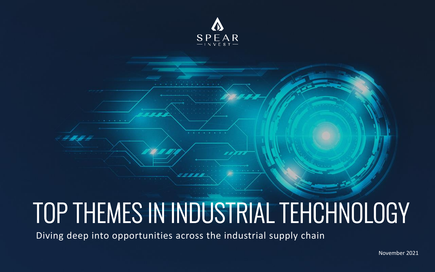November 2021



# Diving deep into opportunities across the industrial supply chain TOP THEMES IN INDUSTRIAL TEHCHNOLOGY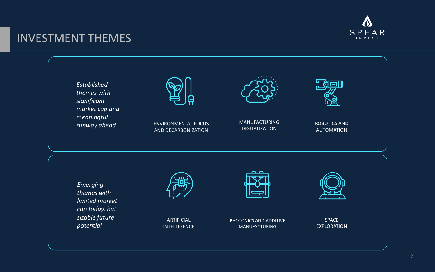# INVESTMENT THEMES

ARTIFICIAL INTELLIGENCE



MANUFACTURING **DIGITALIZATION** 

PHOTONICS AND ADDITIVE MANUFACTURING





ENVIRONMENTAL FOCUS AND DECARBONIZATION



*Emerging themes with limited market cap today, but sizable future potential* 



*Established themes with significant market cap and meaningful runway ahead* 

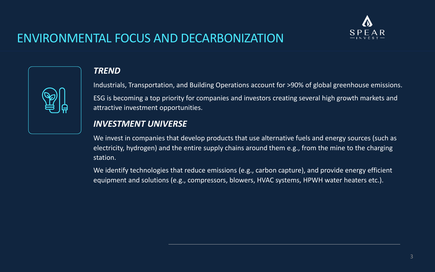# ENVIRONMENTAL FOCUS AND DECARBONIZATION



## *TREND*

Industrials, Transportation, and Building Operations account for >90% of global greenhouse emissions. ESG is becoming a top priority for companies and investors creating several high growth markets and attractive investment opportunities.

We invest in companies that develop products that use alternative fuels and energy sources (such as electricity, hydrogen) and the entire supply chains around them e.g., from the mine to the charging station.

## *INVESTMENT UNIVERSE*

We identify technologies that reduce emissions (e.g., carbon capture), and provide energy efficient equipment and solutions (e.g., compressors, blowers, HVAC systems, HPWH water heaters etc.).

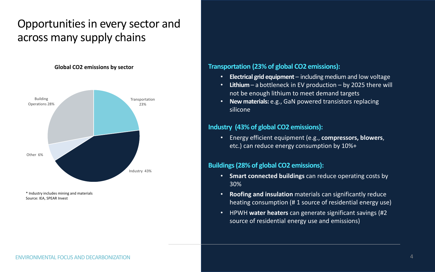# Opportunities in every sector and across many supply chains

### ENVIRONMENTAL FOCUS AND DECARBONIZATION 4

## **Transportation (23% of global CO2 emissions):**

• **Electrical grid equipment** – including medium and low voltage • **Lithium** – a bottleneck in EV production – by 2025 there will

- 
- not be enough lithium to meet demand targets
- **New materials:** e.g., GaN powered transistors replacing silicone

## **Industry (43% of global CO2 emissions):**

• Energy efficient equipment (e.g., **compressors, blowers**, etc.) can reduce energy consumption by 10%+

### **Buildings (28% of global CO2 emissions):**

- **Smart connected buildings** can reduce operating costs by 30%
- **Roofing and insulation** materials can significantly reduce
- HPWH **water heaters** can generate significant savings (#2 source of residential energy use and emissions)

heating consumption (# 1 source of residential energy use)

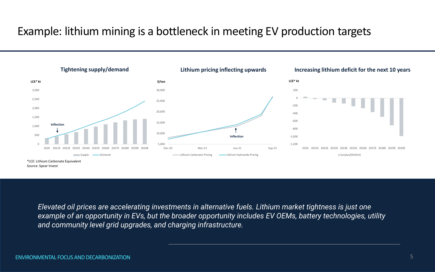# Example: lithium mining is a bottleneck in meeting EV production targets





*Elevated oil prices are accelerating investments in alternative fuels. Lithium market tightness is just one example of an opportunity in EVs, but the broader opportunity includes EV OEMs, battery technologies, utility and community level grid upgrades, and charging infrastructure.*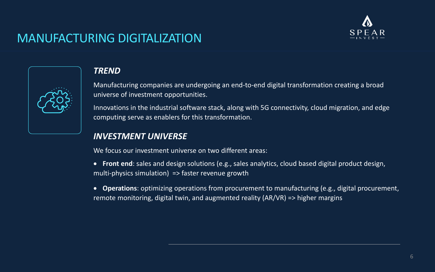# MANUFACTURING DIGITALIZATION

| <b>}</b> : |
|------------|
|            |

## *TREND*

Manufacturing companies are undergoing an end-to-end digital transformation creating a broad universe of investment opportunities.

Innovations in the industrial software stack, along with 5G connectivity, cloud migration, and edge computing serve as enablers for this transformation.

## *INVESTMENT UNIVERSE*

We focus our investment universe on two different areas:

- **Front end**: sales and design solutions (e.g., sales analytics, cloud based digital product design, multi-physics simulation) => faster revenue growth
- **Operations**: optimizing operations from procurement to manufacturing (e.g., digital procurement, remote monitoring, digital twin, and augmented reality (AR/VR) => higher margins

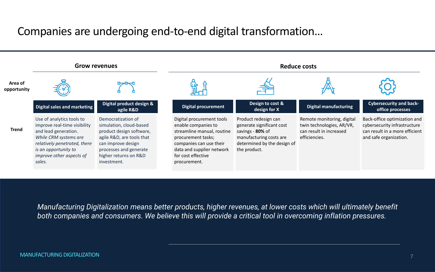# Companies are undergoing end-to-end digital transformation…



### **Digital manufacturing**

Remote monitoring, digital twin technologies, AR/VR, can result in increased efficiencies.

**Cybersecurity and backoffice processes** 

Back-office optimization and cybersecurity infrastructure can result in a more efficient and safe organization.

*Manufacturing Digitalization means better products, higher revenues, at lower costs which will ultimately benefit both companies and consumers. We believe this will provide a critical tool in overcoming inflation pressures.* 

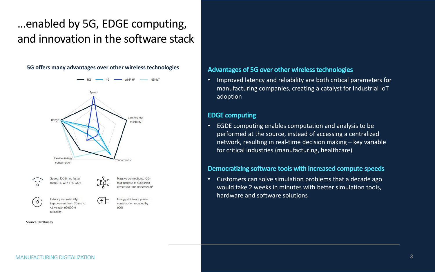# …enabled by 5G, EDGE computing, and innovation in the software stack

### MANUFACTURING DIGITALIZATION 8

### **Advantages of 5G over other wireless technologies**

• Improved latency and reliability are both critical parameters for manufacturing companies, creating a catalyst for industrial IoT adoption

### **EDGE computing**

• EGDE computing enables computation and analysis to be performed at the source, instead of accessing a centralized network, resulting in real-time decision making – key variable for critical industries (manufacturing, healthcare)

### **Democratizing software tools with increased compute speeds**

• Customers can solve simulation problems that a decade ago would take 2 weeks in minutes with better simulation tools, hardware and software solutions

### **5G offers many advantages over other wireless technologies**



Source: McKinsey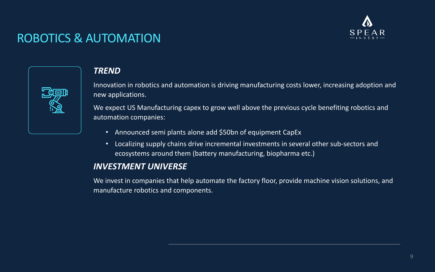# ROBOTICS & AUTOMATION

| <u>र्द्भ</u><br>复<br><b>PO</b> |  |
|--------------------------------|--|
|                                |  |

## *TREND*

Innovation in robotics and automation is driving manufacturing costs lower, increasing adoption and new applications.

We expect US Manufacturing capex to grow well above the previous cycle benefiting robotics and automation companies:

- Announced semi plants alone add \$50bn of equipment CapEx
- Localizing supply chains drive incremental investments in several other sub-sectors and ecosystems around them (battery manufacturing, biopharma etc.)

## *INVESTMENT UNIVERSE*

We invest in companies that help automate the factory floor, provide machine vision solutions, and manufacture robotics and components.

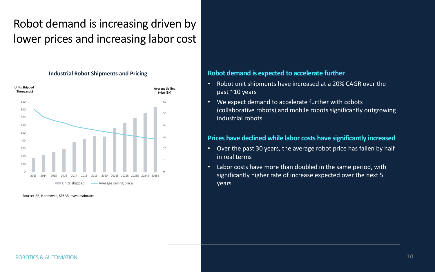# Robot demand is increasing driven by lower prices and increasing labor cost

## **Robot demand is expected to accelerate further**

- Robot unit shipments have increased at a 20% CAGR over the past ~10 years
- We expect demand to accelerate further with cobots industrial robots

(collaborative robots) and mobile robots significantly outgrowing

**Average Selling Price (\$K) Units Shipped (Thousands)** 0 10 20 30 40 50 60 0 100 200 300 400 500 600 700 800 900 2013 2014 2015 2016 2017 2018 2019 2020 2021E 2022E 2023E 2024E 2025E Units shipped **Average selling price** 

## **Prices have declined while labor costs have significantly increased**

- Over the past 30 years, the average robot price has fallen by half in real terms
- Labor costs have more than doubled in the same period, with significantly higher rate of increase expected over the next 5 years

Source: IFR, Honeywell, SPEAR Invest estimates

### **Industrial Robot Shipments and Pricing**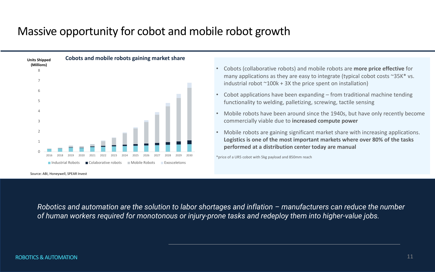# Massive opportunity for cobot and mobile robot growth



industrial robot  $\sim 100k + 3X$  the price spent on installation)

• Cobots (collaborative robots) and mobile robots are **more price effective** for many applications as they are easy to integrate (typical cobot costs ~35K\* vs.

• Cobot applications have been expanding – from traditional machine tending

*Robotics and automation are the solution to labor shortages and inflation - manufacturers can reduce the number of human workers required for monotonous or injury-prone tasks and redeploy them into higher-value jobs.*

• Mobile robots have been around since the 1940s, but have only recently become

- functionality to welding, palletizing, screwing, tactile sensing
- commercially viable due to **increased compute power**
- **performed at a distribution center today are manual**

• Mobile robots are gaining significant market share with increasing applications. **Logistics is one of the most important markets where over 80% of the tasks** 

\*price of a UR5 cobot with 5kg payload and 850mm reach

Source: ABI, Honeywell, SPEAR Invest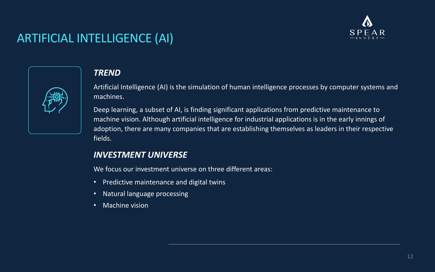# ARTIFICIAL INTELLIGENCE (AI)



## *TREND*

Artificial Intelligence (AI) is the simulation of human intelligence processes by computer systems and machines.

Deep learning, a subset of AI, is finding significant applications from predictive maintenance to machine vision. Although artificial intelligence for industrial applications is in the early innings of adoption, there are many companies that are establishing themselves as leaders in their respective fields.

## *INVESTMENT UNIVERSE*

We focus our investment universe on three different areas:

- Predictive maintenance and digital twins
- Natural language processing
- Machine vision

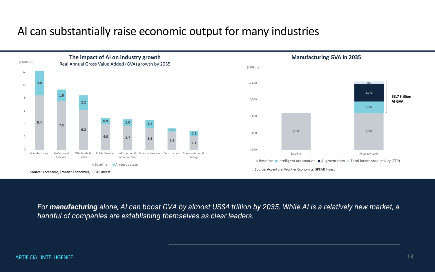## AI can substantially raise economic output for many industries

*For manufacturing alone, AI can boost GVA by almost US\$4 trillion by 2035. While AI is a relatively new market, a handful of companies are establishing themselves as clear leaders.* 

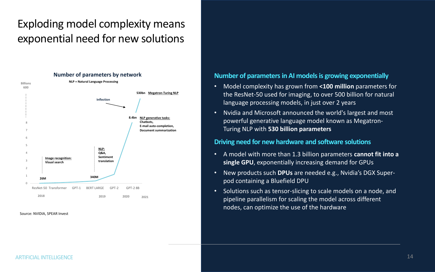# Exploding model complexity means exponential need for new solutions

## **Number of parameters in AI models is growing exponentially**

• Model complexity has grown from **<100 million** parameters for the ResNet-50 used for imaging, to over 500 billion for natural

- language processing models, in just over 2 years
- powerful generative language model known as Megatron-Turing NLP with **530 billion parameters**

• Nvidia and Microsoft announced the world's largest and most

### **Driving need for new hardware and software solutions**

• A model with more than 1.3 billion parameters **cannot fit into a** 

• New products such **DPUs** are needed e.g., Nvidia's DGX Super-

- **single GPU**, exponentially increasing demand for GPUs
- pod containing a Bluefield DPU
- pipeline parallelism for scaling the model across different nodes, can optimize the use of the hardware

### ARTIFICIAL INTELLIGENCE AND A SERVERSE AND A SERVERSE THAT AND THE SERVER OF THE SERVER OF THE SERVER OF THE S

• Solutions such as tensor-slicing to scale models on a node, and



Source: NVIDIA, SPEAR Invest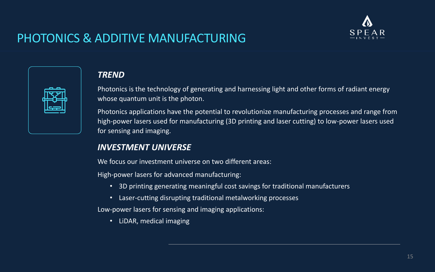# PHOTONICS & ADDITIVE MANUFACTURING

## *TREND*

Photonics is the technology of generating and harnessing light and other forms of radiant energy whose quantum unit is the photon.

Photonics applications have the potential to revolutionize manufacturing processes and range from high-power lasers used for manufacturing (3D printing and laser cutting) to low-power lasers used for sensing and imaging.

## *INVESTMENT UNIVERSE*

We focus our investment universe on two different areas:

High-power lasers for advanced manufacturing:

- 3D printing generating meaningful cost savings for traditional manufacturers
- Laser-cutting disrupting traditional metalworking processes

Low-power lasers for sensing and imaging applications:

• LiDAR, medical imaging

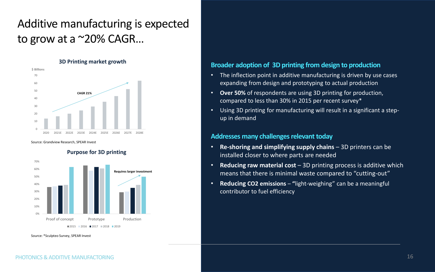## **Broader adoption of 3D printing from design to production**

• The inflection point in additive manufacturing is driven by use cases • Using 3D printing for manufacturing will result in a significant a step-

- expanding from design and prototyping to actual production
- **Over 50%** of respondents are using 3D printing for production, compared to less than 30% in 2015 per recent survey\*
- up in demand

### **Addresses many challenges relevant today**

• **Reducing raw material cost** – 3D printing process is additive which

- **Re-shoring and simplifying supply chains**  3D printers can be installed closer to where parts are needed
- means that there is minimal waste compared to "cutting-out"
- **Reducing CO2 emissions "**light-weighing" can be a meaningful contributor to fuel efficiency

Source: Grandview Research, SPEAR Invest

Source: \*Sculpteo Survey, SPEAR Invest

**Purpose for 3D printing** 

# Additive manufacturing is expected to grow at a  $^{\sim}20\%$  CAGR...



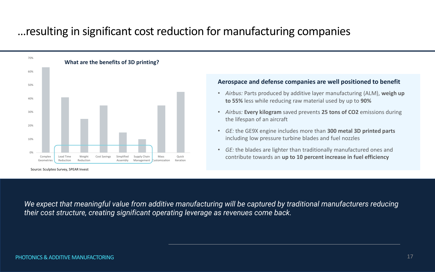# …resulting in significant cost reduction for manufacturing companies

### **Aerospace and defense companies are well positioned to benefit**

• *Airbus:* Parts produced by additive layer manufacturing (ALM), **weigh up** 

• *Airbus:* **Every kilogram** saved prevents **25 tons of CO2** emissions during

• *GE:* the GE9X engine includes more than **300 metal 3D printed parts**

• *GE:* the blades are lighter than traditionally manufactured ones and contribute towards an **up to 10 percent increase in fuel efficiency** 



Source: Sculpteo Survey, SPEAR Invest

*We expect that meaningful value from additive manufacturing will be captured by traditional manufacturers reducing their cost structure, creating significant operating leverage as revenues come back.*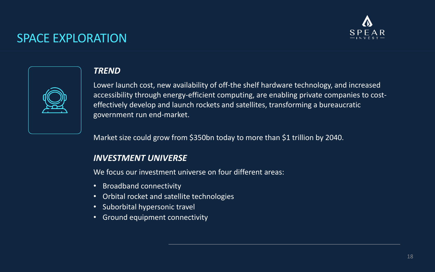# SPACE EXPLORATION

## *TREND*

Lower launch cost, new availability of off-the shelf hardware technology, and increased accessibility through energy-efficient computing, are enabling private companies to costeffectively develop and launch rockets and satellites, transforming a bureaucratic government run end-market.

Market size could grow from \$350bn today to more than \$1 trillion by 2040.

## *INVESTMENT UNIVERSE*

We focus our investment universe on four different areas:

- Broadband connectivity
- Orbital rocket and satellite technologies
- Suborbital hypersonic travel
- Ground equipment connectivity

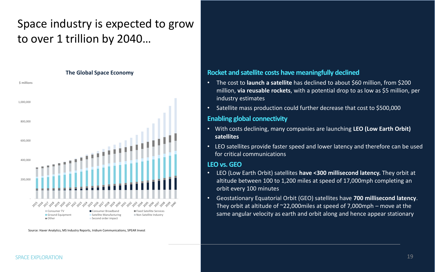# Space industry is expected to grow to over 1 trillion by 2040…

## **Rocket and satellite costs have meaningfully declined**

• The cost to **launch a satellite** has declined to about \$60 million, from \$200 million, **via reusable rockets**, with a potential drop to as low as \$5 million, per

- industry estimates
- 

• Satellite mass production could further decrease that cost to \$500,000

### **Enabling global connectivity**

• With costs declining, many companies are launching **LEO (Low Earth Orbit)** 

• LEO satellites provide faster speed and lower latency and therefore can be used

- **satellites**
- for critical communications

### **LEO vs. GEO**

**The Global Space Economy**  1,200,000 **\$ millions** 1,000,000 800,000 600,000 400,000 200,000 - - సిన్నిస్ సిన్నిస్ స్టార్ట్ స్టార్ట్ స్టార్ట్ స్టార్ట్ స్టార్ట్ స్ట్రీ స్ట్రీ స్ట్రీ స్ట్రీ స్ట్రీ స్ట్రీ స్టార్ట్ స్ట్రీ స్ట్రీ ■ Consumer TV **■** Consumer Broadband ■ Fixed Satellite Services **Ground Equipment Satellite Manufacturing Non Satellite Industry** ■ Other Second order impact

• LEO (Low Earth Orbit) satellites **have <300 millisecond latency.** They orbit at altitude between 100 to 1,200 miles at speed of 17,000mph completing an

- orbit every 100 minutes
- 

• Geostationary Equatorial Orbit (GEO) satellites have **700 millisecond latency**. They orbit at altitude of  $\sim$ 22,000miles at speed of 7,000mph – move at the same angular velocity as earth and orbit along and hence appear stationary

Source: Haver Analytics, MS Industry Reports, Iridium Communications, SPEAR Invest

### SPACE EXPLORATION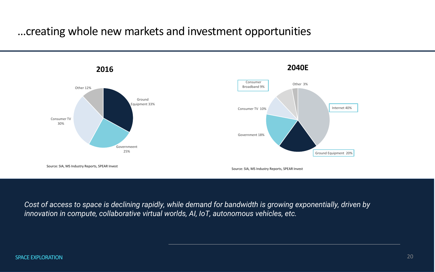## …creating whole new markets and investment opportunities



*Cost of access to space is declining rapidly, while demand for bandwidth is growing exponentially, driven by innovation in compute, collaborative virtual worlds, AI, IoT, autonomous vehicles, etc.*